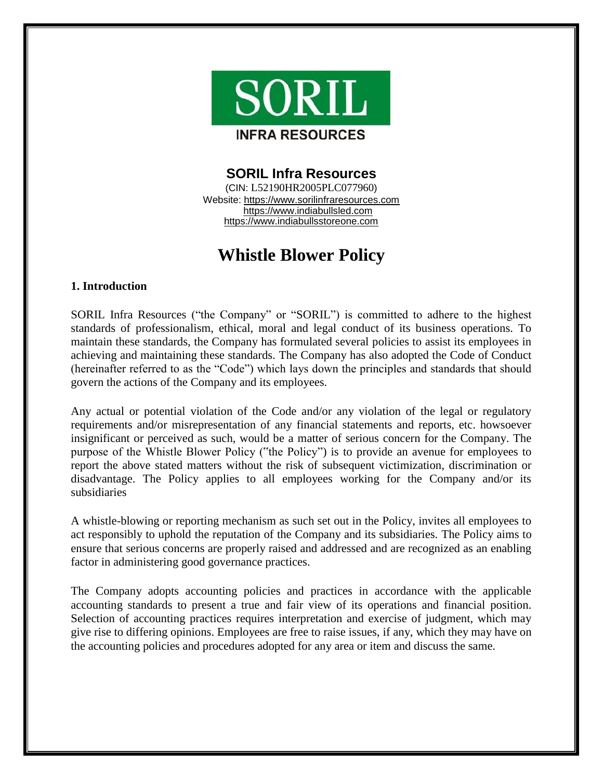

# **SORIL Infra Resources**

(CIN: L52190HR2005PLC077960) Website: https://www.sorilinfraresources.com https://www.indiabullsled.com https://www.indiabullsstoreone.com

# **Whistle Blower Policy**

# **1. Introduction**

SORIL Infra Resources ("the Company" or "SORIL") is committed to adhere to the highest standards of professionalism, ethical, moral and legal conduct of its business operations. To maintain these standards, the Company has formulated several policies to assist its employees in achieving and maintaining these standards. The Company has also adopted the Code of Conduct (hereinafter referred to as the "Code") which lays down the principles and standards that should govern the actions of the Company and its employees.

Any actual or potential violation of the Code and/or any violation of the legal or regulatory requirements and/or misrepresentation of any financial statements and reports, etc. howsoever insignificant or perceived as such, would be a matter of serious concern for the Company. The purpose of the Whistle Blower Policy ("the Policy") is to provide an avenue for employees to report the above stated matters without the risk of subsequent victimization, discrimination or disadvantage. The Policy applies to all employees working for the Company and/or its subsidiaries

A whistle-blowing or reporting mechanism as such set out in the Policy, invites all employees to act responsibly to uphold the reputation of the Company and its subsidiaries. The Policy aims to ensure that serious concerns are properly raised and addressed and are recognized as an enabling factor in administering good governance practices.

The Company adopts accounting policies and practices in accordance with the applicable accounting standards to present a true and fair view of its operations and financial position. Selection of accounting practices requires interpretation and exercise of judgment, which may give rise to differing opinions. Employees are free to raise issues, if any, which they may have on the accounting policies and procedures adopted for any area or item and discuss the same.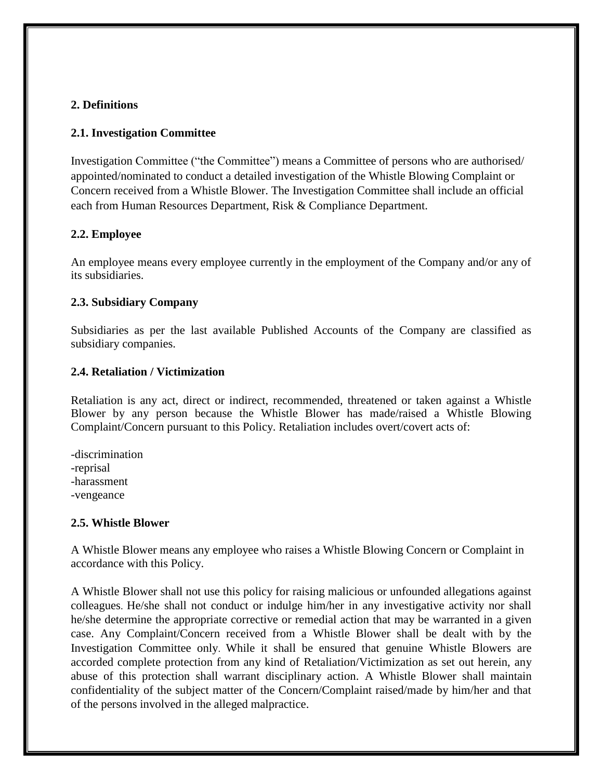# **2. Definitions**

# **2.1. Investigation Committee**

Investigation Committee ("the Committee") means a Committee of persons who are authorised/ appointed/nominated to conduct a detailed investigation of the Whistle Blowing Complaint or Concern received from a Whistle Blower. The Investigation Committee shall include an official each from Human Resources Department, Risk & Compliance Department.

#### **2.2. Employee**

An employee means every employee currently in the employment of the Company and/or any of its subsidiaries.

# **2.3. Subsidiary Company**

Subsidiaries as per the last available Published Accounts of the Company are classified as subsidiary companies.

# **2.4. Retaliation / Victimization**

Retaliation is any act, direct or indirect, recommended, threatened or taken against a Whistle Blower by any person because the Whistle Blower has made/raised a Whistle Blowing Complaint/Concern pursuant to this Policy. Retaliation includes overt/covert acts of:

-discrimination -reprisal -harassment -vengeance

#### **2.5. Whistle Blower**

A Whistle Blower means any employee who raises a Whistle Blowing Concern or Complaint in accordance with this Policy.

A Whistle Blower shall not use this policy for raising malicious or unfounded allegations against colleagues. He/she shall not conduct or indulge him/her in any investigative activity nor shall he/she determine the appropriate corrective or remedial action that may be warranted in a given case. Any Complaint/Concern received from a Whistle Blower shall be dealt with by the Investigation Committee only. While it shall be ensured that genuine Whistle Blowers are accorded complete protection from any kind of Retaliation/Victimization as set out herein, any abuse of this protection shall warrant disciplinary action. A Whistle Blower shall maintain confidentiality of the subject matter of the Concern/Complaint raised/made by him/her and that of the persons involved in the alleged malpractice.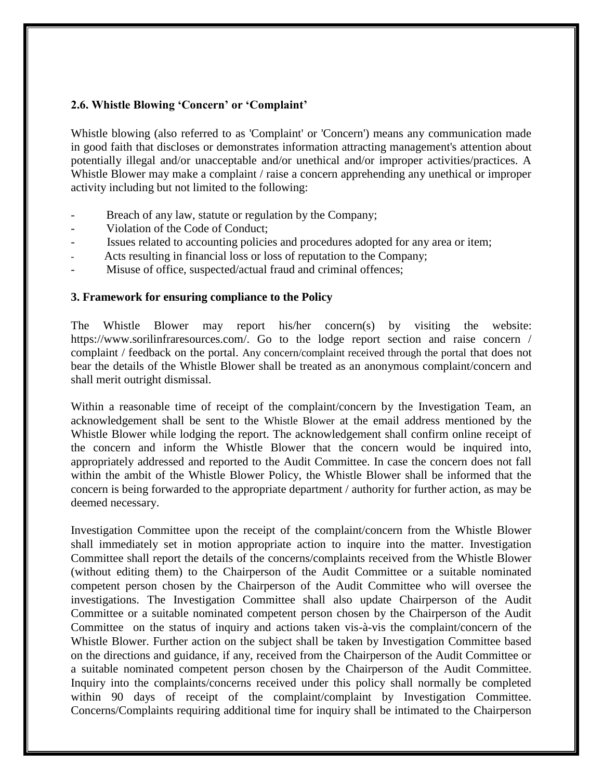# **2.6. Whistle Blowing 'Concern' or 'Complaint'**

Whistle blowing (also referred to as 'Complaint' or 'Concern') means any communication made in good faith that discloses or demonstrates information attracting management's attention about potentially illegal and/or unacceptable and/or unethical and/or improper activities/practices. A Whistle Blower may make a complaint / raise a concern apprehending any unethical or improper activity including but not limited to the following:

- Breach of any law, statute or regulation by the Company;
- Violation of the Code of Conduct;
- Issues related to accounting policies and procedures adopted for any area or item;
- Acts resulting in financial loss or loss of reputation to the Company;
- Misuse of office, suspected/actual fraud and criminal offences;

#### **3. Framework for ensuring compliance to the Policy**

The Whistle Blower may report his/her concern(s) by visiting the website: https://www.sorilinfraresources.com/. Go to the lodge report section and raise concern / complaint / feedback on the portal. Any concern/complaint received through the portal that does not bear the details of the Whistle Blower shall be treated as an anonymous complaint/concern and shall merit outright dismissal.

Within a reasonable time of receipt of the complaint/concern by the Investigation Team, an acknowledgement shall be sent to the Whistle Blower at the email address mentioned by the Whistle Blower while lodging the report. The acknowledgement shall confirm online receipt of the concern and inform the Whistle Blower that the concern would be inquired into, appropriately addressed and reported to the Audit Committee. In case the concern does not fall within the ambit of the Whistle Blower Policy, the Whistle Blower shall be informed that the concern is being forwarded to the appropriate department / authority for further action, as may be deemed necessary.

Investigation Committee upon the receipt of the complaint/concern from the Whistle Blower shall immediately set in motion appropriate action to inquire into the matter. Investigation Committee shall report the details of the concerns/complaints received from the Whistle Blower (without editing them) to the Chairperson of the Audit Committee or a suitable nominated competent person chosen by the Chairperson of the Audit Committee who will oversee the investigations. The Investigation Committee shall also update Chairperson of the Audit Committee or a suitable nominated competent person chosen by the Chairperson of the Audit Committee on the status of inquiry and actions taken vis-à-vis the complaint/concern of the Whistle Blower. Further action on the subject shall be taken by Investigation Committee based on the directions and guidance, if any, received from the Chairperson of the Audit Committee or a suitable nominated competent person chosen by the Chairperson of the Audit Committee. Inquiry into the complaints/concerns received under this policy shall normally be completed within 90 days of receipt of the complaint/complaint by Investigation Committee. Concerns/Complaints requiring additional time for inquiry shall be intimated to the Chairperson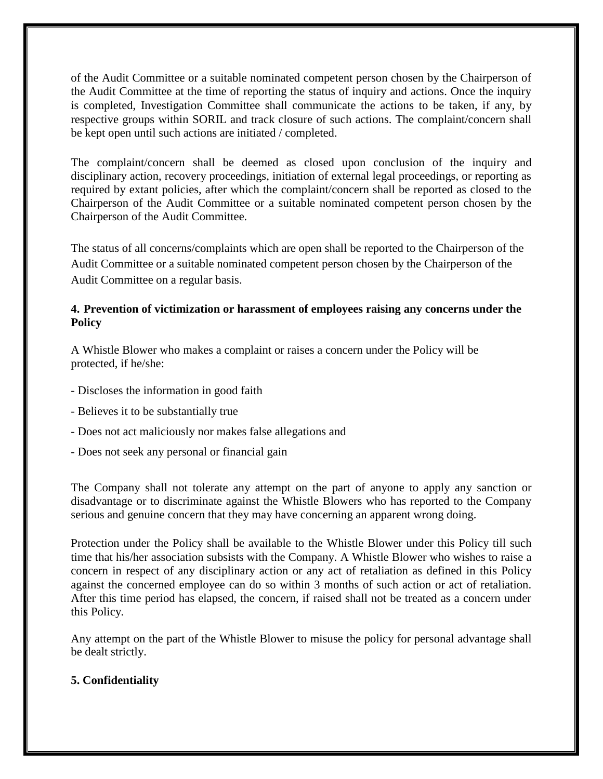of the Audit Committee or a suitable nominated competent person chosen by the Chairperson of the Audit Committee at the time of reporting the status of inquiry and actions. Once the inquiry is completed, Investigation Committee shall communicate the actions to be taken, if any, by respective groups within SORIL and track closure of such actions. The complaint/concern shall be kept open until such actions are initiated / completed.

The complaint/concern shall be deemed as closed upon conclusion of the inquiry and disciplinary action, recovery proceedings, initiation of external legal proceedings, or reporting as required by extant policies, after which the complaint/concern shall be reported as closed to the Chairperson of the Audit Committee or a suitable nominated competent person chosen by the Chairperson of the Audit Committee.

The status of all concerns/complaints which are open shall be reported to the Chairperson of the Audit Committee or a suitable nominated competent person chosen by the Chairperson of the Audit Committee on a regular basis.

# **4. Prevention of victimization or harassment of employees raising any concerns under the Policy**

A Whistle Blower who makes a complaint or raises a concern under the Policy will be protected, if he/she:

- Discloses the information in good faith
- Believes it to be substantially true
- Does not act maliciously nor makes false allegations and
- Does not seek any personal or financial gain

The Company shall not tolerate any attempt on the part of anyone to apply any sanction or disadvantage or to discriminate against the Whistle Blowers who has reported to the Company serious and genuine concern that they may have concerning an apparent wrong doing.

Protection under the Policy shall be available to the Whistle Blower under this Policy till such time that his/her association subsists with the Company. A Whistle Blower who wishes to raise a concern in respect of any disciplinary action or any act of retaliation as defined in this Policy against the concerned employee can do so within 3 months of such action or act of retaliation. After this time period has elapsed, the concern, if raised shall not be treated as a concern under this Policy.

Any attempt on the part of the Whistle Blower to misuse the policy for personal advantage shall be dealt strictly.

#### **5. Confidentiality**